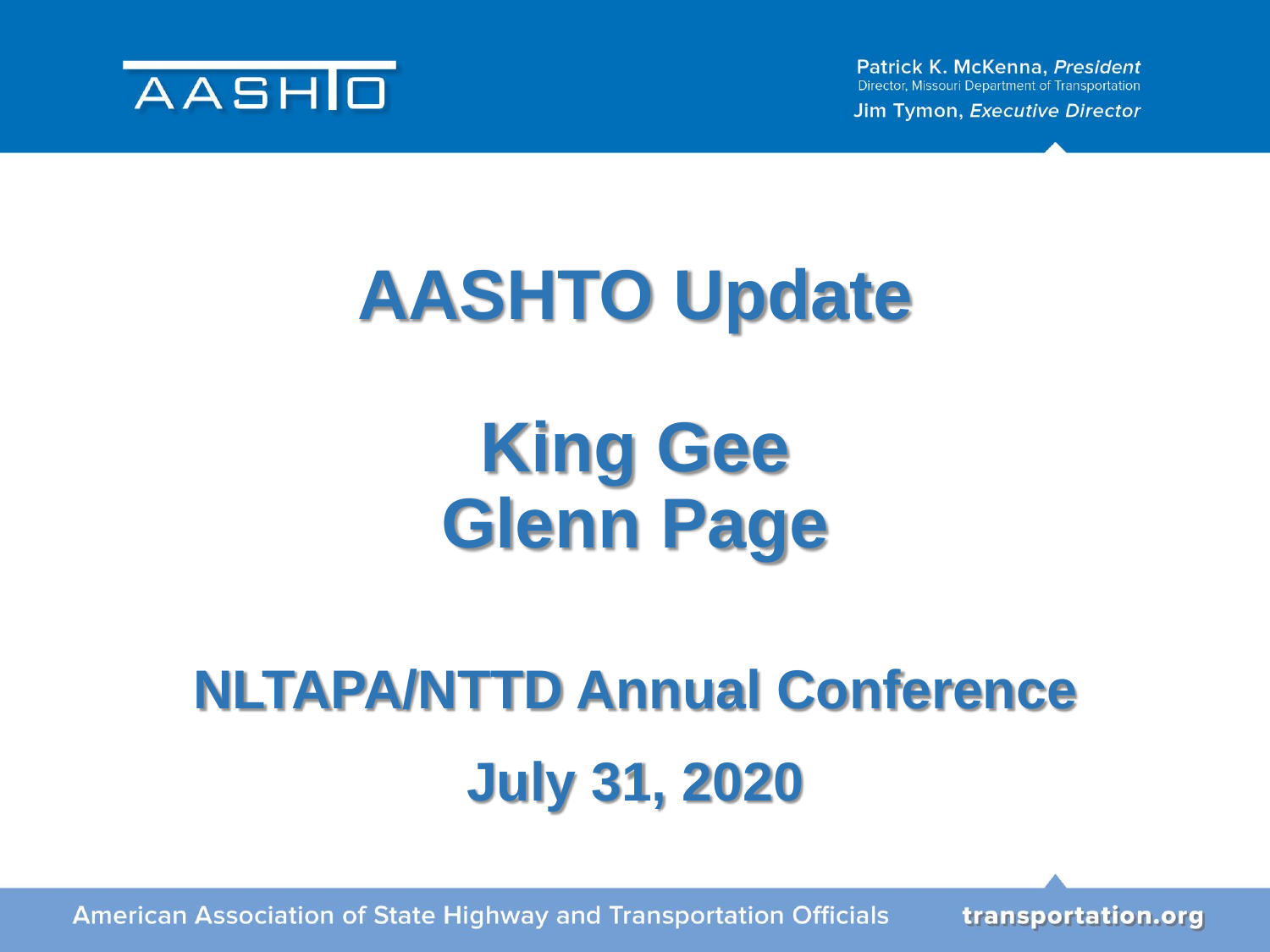

Patrick K. McKenna, President Director, Missouri Department of Transportation

Jim Tymon, Executive Director

## **AASHTO Update**

### **King Gee Glenn Page**

## **NLTAPA/NTTD Annual Conference July 31, 2020**

**American Association of State Highway and Transportation Officials**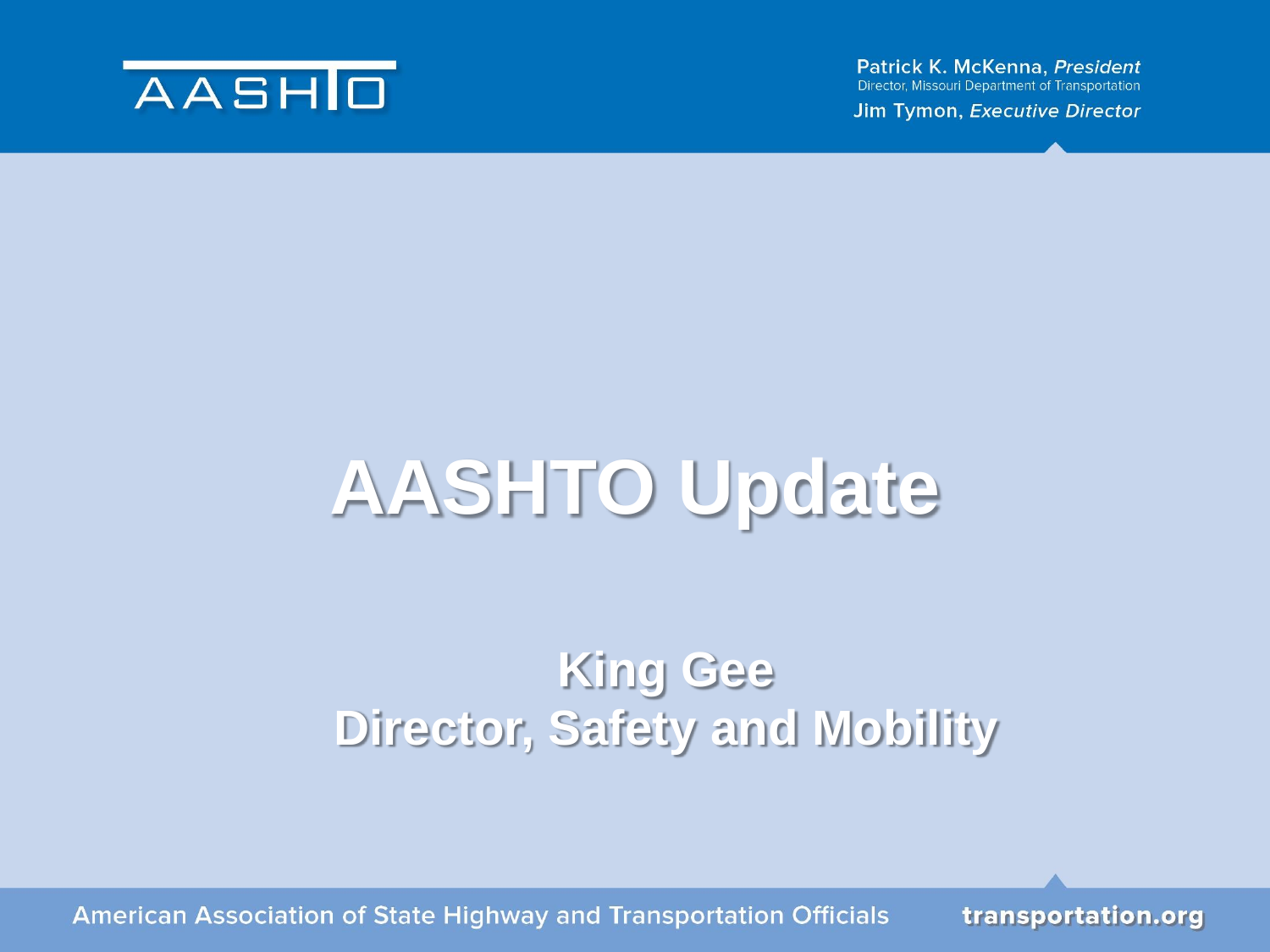

Patrick K. McKenna, President **Director, Missouri Department of Transportation** 

Jim Tymon, Executive Director

## **AASHTO Update**

### **King Gee Director, Safety and Mobility**

**American Association of State Highway and Transportation Officials**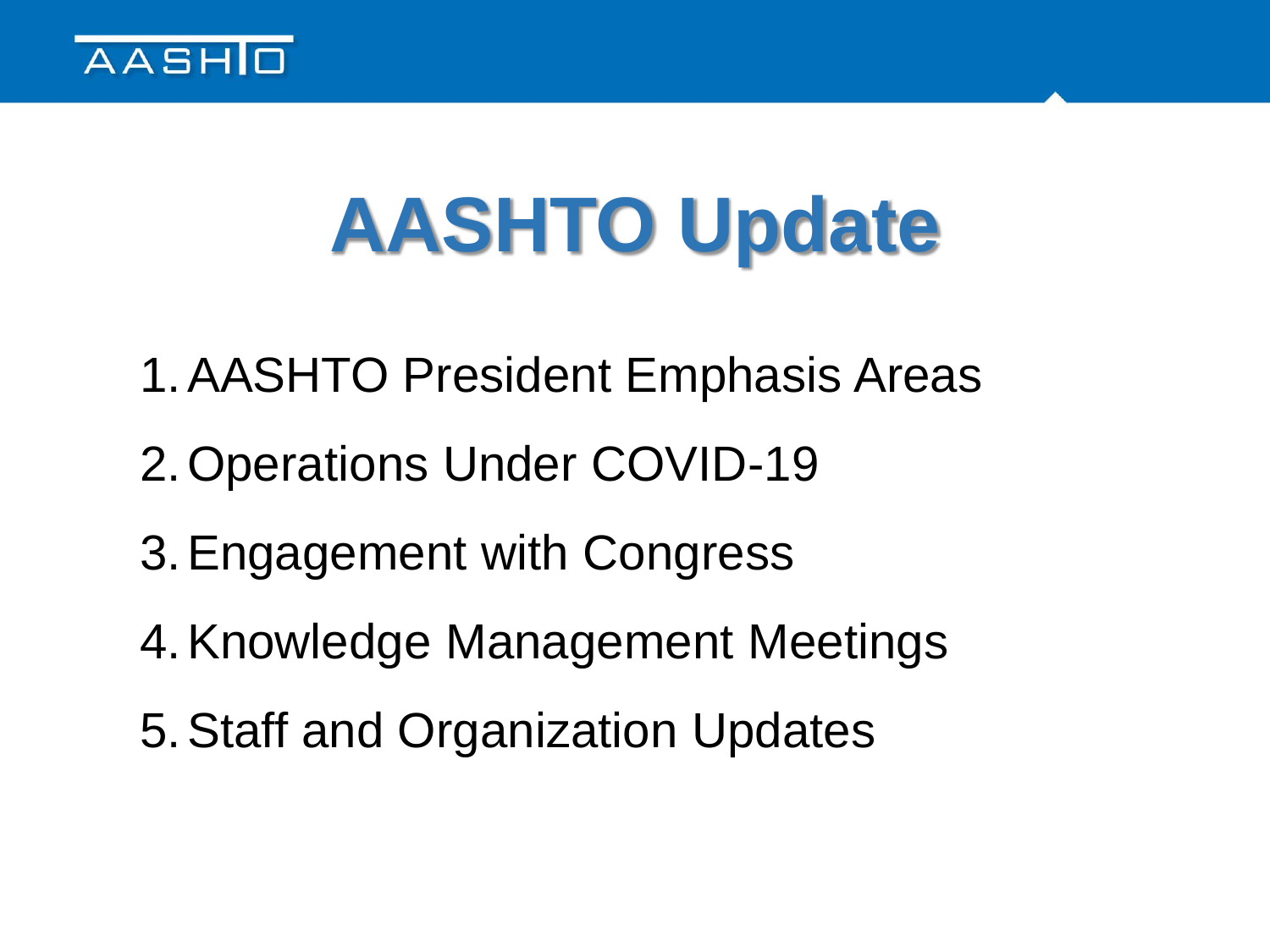

# **AASHTO Update**

- 1.AASHTO President Emphasis Areas
- 2.Operations Under COVID-19
- 3.Engagement with Congress
- 4.Knowledge Management Meetings
- 5.Staff and Organization Updates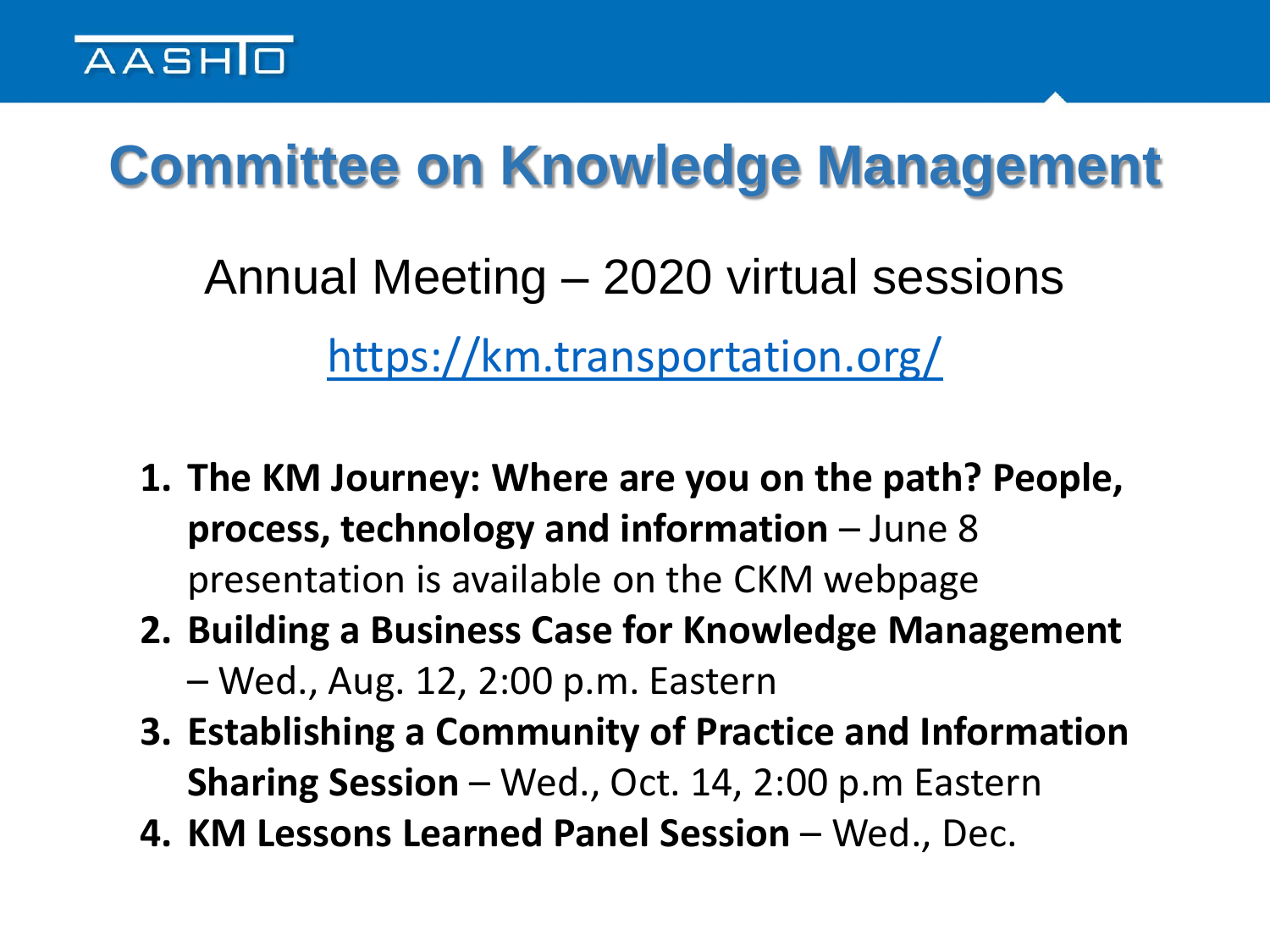

### **Committee on Knowledge Management**

Annual Meeting – 2020 virtual sessions <https://km.transportation.org/>

- **1. The KM Journey: Where are you on the path? People, process, technology and information** – June 8 presentation is available on the CKM webpage
- **2. Building a Business Case for Knowledge Management**  – Wed., Aug. 12, 2:00 p.m. Eastern
- **3. Establishing a Community of Practice and Information Sharing Session** – Wed., Oct. 14, 2:00 p.m Eastern
- **4. KM Lessons Learned Panel Session** Wed., Dec.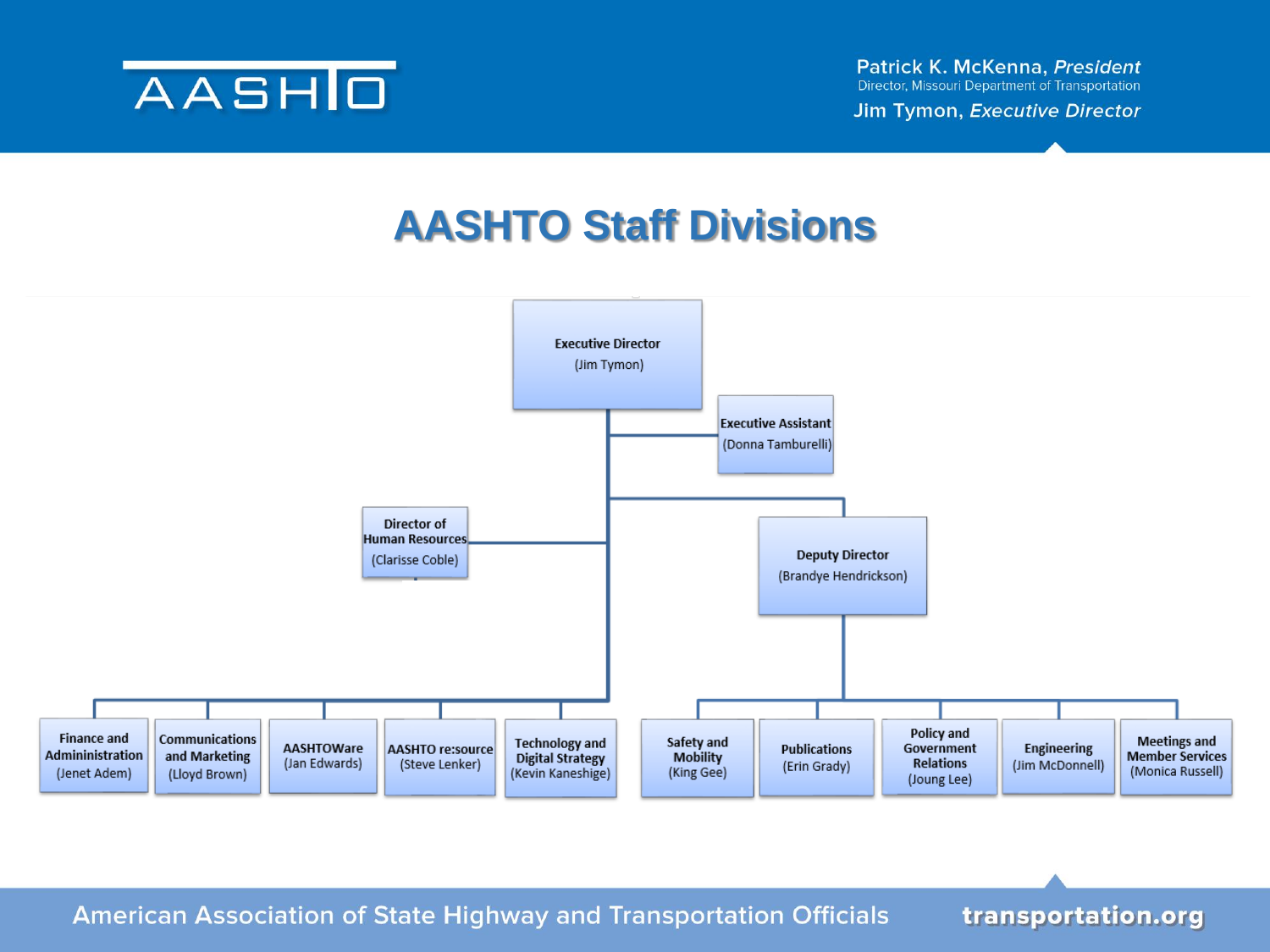

Jim Tymon, Executive Director

#### **AASHTO Staff Divisions**



**American Association of State Highway and Transportation Officials**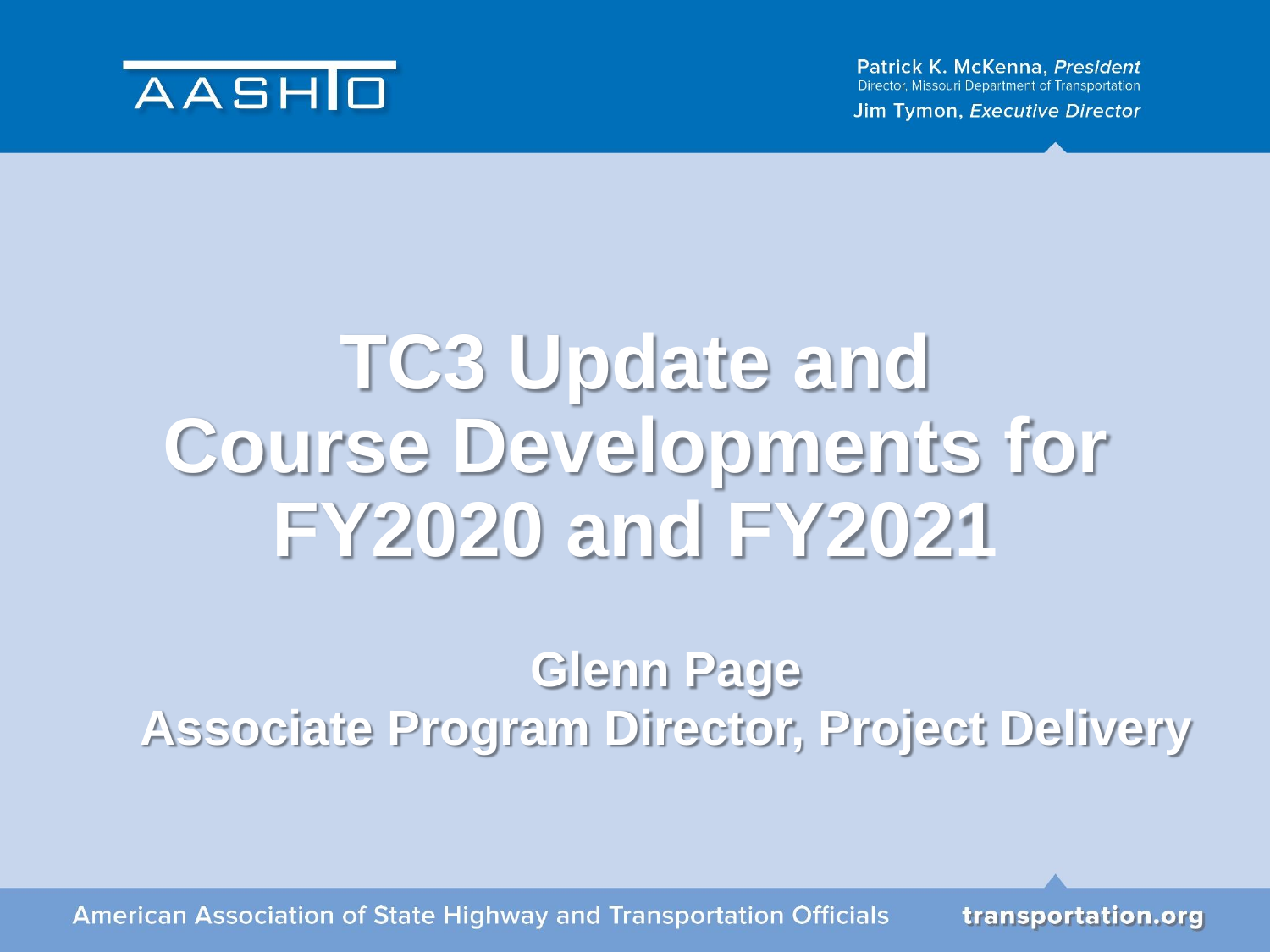

Patrick K. McKenna, President **Director, Missouri Department of Transportation** 

Jim Tymon, Executive Director

## **TC3 Update and Course Developments for FY2020 and FY2021**

#### **Glenn Page Associate Program Director, Project Delivery**

**American Association of State Highway and Transportation Officials**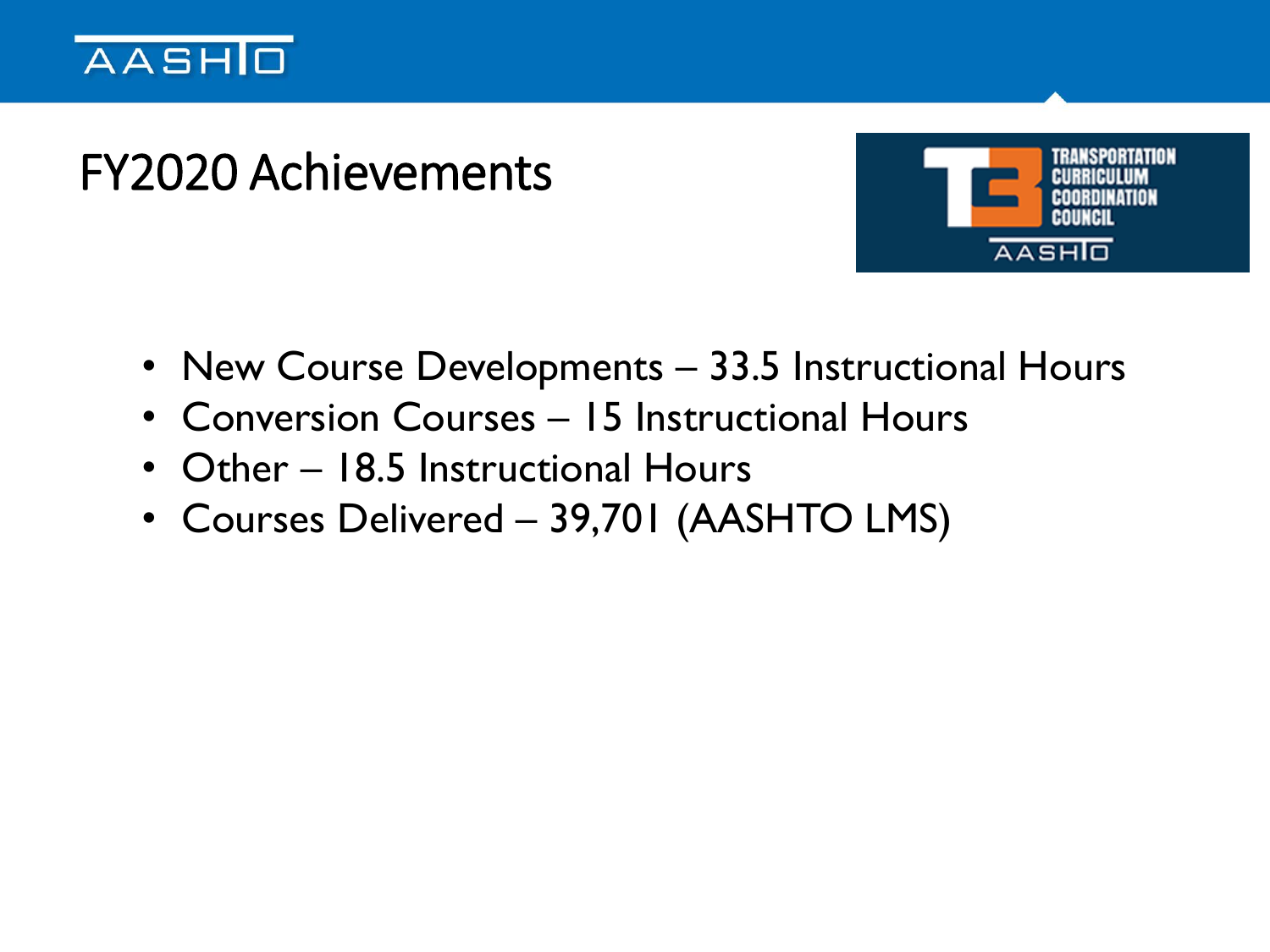

### FY2020 Achievements



- New Course Developments 33.5 Instructional Hours
- Conversion Courses 15 Instructional Hours
- Other 18.5 Instructional Hours
- Courses Delivered 39,701 (AASHTO LMS)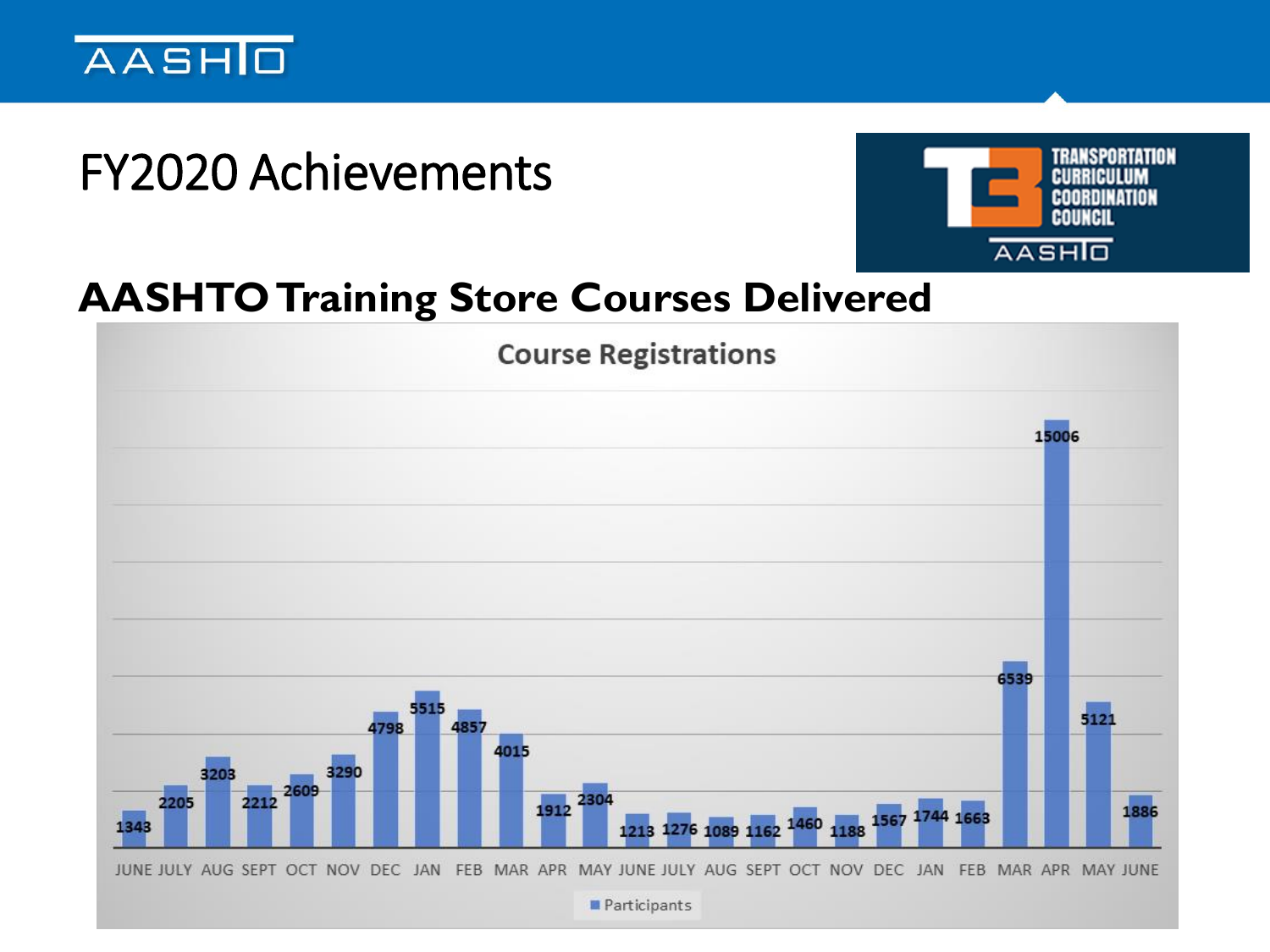

### FY2020 Achievements



#### **AASHTO Training Store Courses Delivered**

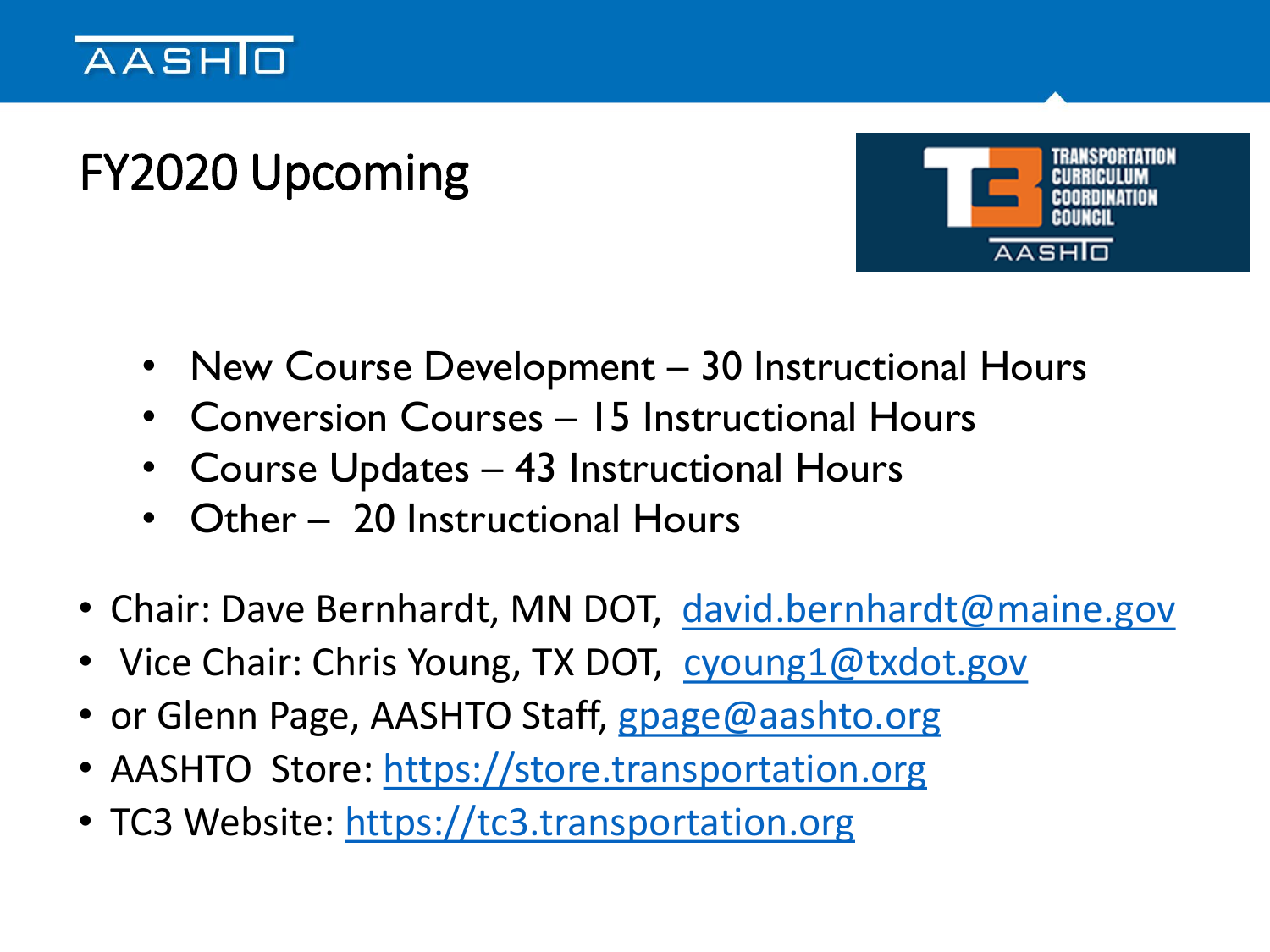#### **AASHIO**

### FY2020 Upcoming



- New Course Development 30 Instructional Hours
- Conversion Courses 15 Instructional Hours
- Course Updates 43 Instructional Hours
- Other 20 Instructional Hours
- Chair: Dave Bernhardt, MN DOT, [david.bernhardt@maine.gov](mailto:david.bernhardt@maine.gov)
- Vice Chair: Chris Young, TX DOT, [cyoung1@txdot.gov](mailto:cyoung1@txdot.gov)
- or Glenn Page, AASHTO Staff, [gpage@aashto.org](mailto:gpage@aashto.org)
- AASHTO Store: [https://store.transportation.org](https://store.transportation.org/)
- TC3 Website: [https://tc3.transportation.org](https://tc3.transportation.org/)